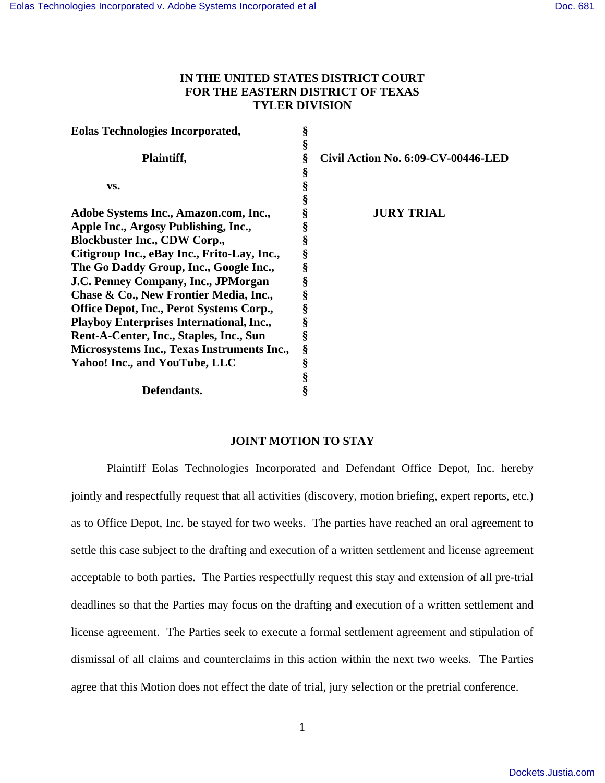# **IN THE UNITED STATES DISTRICT COURT FOR THE EASTERN DISTRICT OF TEXAS TYLER DIVISION**

| <b>Eolas Technologies Incorporated,</b>         |   |                                    |
|-------------------------------------------------|---|------------------------------------|
|                                                 | § |                                    |
| Plaintiff,                                      | § | Civil Action No. 6:09-CV-00446-LED |
|                                                 | ş |                                    |
| VS.                                             |   |                                    |
|                                                 |   |                                    |
| Adobe Systems Inc., Amazon.com, Inc.,           |   | <b>JURY TRIAL</b>                  |
| Apple Inc., Argosy Publishing, Inc.,            |   |                                    |
| <b>Blockbuster Inc., CDW Corp.,</b>             | § |                                    |
| Citigroup Inc., eBay Inc., Frito-Lay, Inc.,     | § |                                    |
| The Go Daddy Group, Inc., Google Inc.,          | § |                                    |
| J.C. Penney Company, Inc., JPMorgan             |   |                                    |
| Chase & Co., New Frontier Media, Inc.,          |   |                                    |
| Office Depot, Inc., Perot Systems Corp.,        |   |                                    |
| <b>Playboy Enterprises International, Inc.,</b> |   |                                    |
| Rent-A-Center, Inc., Staples, Inc., Sun         | ş |                                    |
| Microsystems Inc., Texas Instruments Inc.,      | § |                                    |
| Yahoo! Inc., and YouTube, LLC                   | § |                                    |
|                                                 |   |                                    |
| Defendants.                                     |   |                                    |

## **JOINT MOTION TO STAY**

Plaintiff Eolas Technologies Incorporated and Defendant Office Depot, Inc. hereby jointly and respectfully request that all activities (discovery, motion briefing, expert reports, etc.) as to Office Depot, Inc. be stayed for two weeks. The parties have reached an oral agreement to settle this case subject to the drafting and execution of a written settlement and license agreement acceptable to both parties. The Parties respectfully request this stay and extension of all pre-trial deadlines so that the Parties may focus on the drafting and execution of a written settlement and license agreement. The Parties seek to execute a formal settlement agreement and stipulation of dismissal of all claims and counterclaims in this action within the next two weeks. The Parties agree that this Motion does not effect the date of trial, jury selection or the pretrial conference.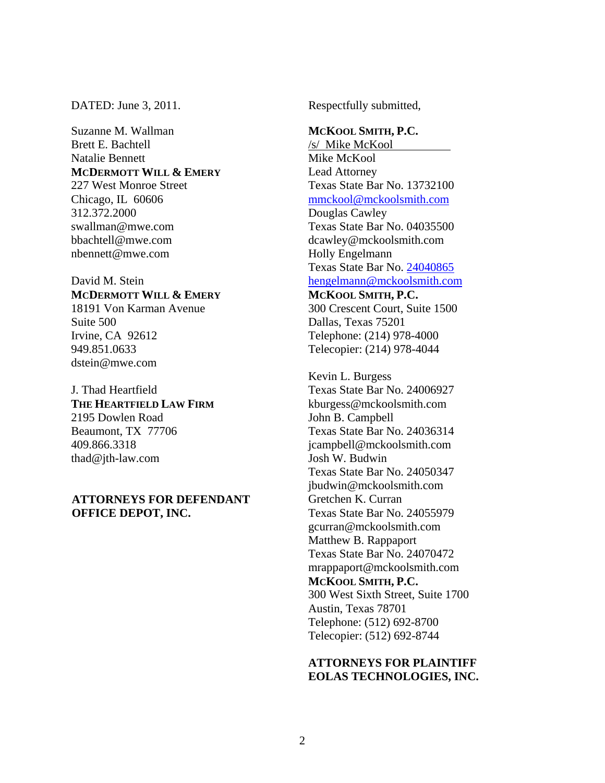DATED: June 3, 2011.

Suzanne M. Wallman Brett E. Bachtell Natalie Bennett **MCDERMOTT WILL & EMERY** 227 West Monroe Street Chicago, IL 60606 312.372.2000 swallman@mwe.com bbachtell@mwe.com nbennett@mwe.com

David M. Stein **MCDERMOTT WILL & EMERY** 18191 Von Karman Avenue Suite 500 Irvine, CA 92612 949.851.0633 dstein@mwe.com

J. Thad Heartfield **THE HEARTFIELD LAW FIRM** 2195 Dowlen Road Beaumont, TX 77706 409.866.3318 thad@jth-law.com

#### **ATTORNEYS FOR DEFENDANT OFFICE DEPOT, INC.**

Respectfully submitted,

#### **MCKOOL SMITH, P.C.**

/s/ Mike McKool Mike McKool Lead Attorney Texas State Bar No. 13732100 mmckool@mckoolsmith.com Douglas Cawley Texas State Bar No. 04035500 dcawley@mckoolsmith.com Holly Engelmann Texas State Bar No. 24040865 hengelmann@mckoolsmith.com **MCKOOL SMITH, P.C.** 

300 Crescent Court, Suite 1500 Dallas, Texas 75201 Telephone: (214) 978-4000 Telecopier: (214) 978-4044

Kevin L. Burgess Texas State Bar No. 24006927 kburgess@mckoolsmith.com John B. Campbell Texas State Bar No. 24036314 jcampbell@mckoolsmith.com Josh W. Budwin Texas State Bar No. 24050347 jbudwin@mckoolsmith.com Gretchen K. Curran Texas State Bar No. 24055979 gcurran@mckoolsmith.com Matthew B. Rappaport Texas State Bar No. 24070472 mrappaport@mckoolsmith.com **MCKOOL SMITH, P.C.**  300 West Sixth Street, Suite 1700 Austin, Texas 78701 Telephone: (512) 692-8700 Telecopier: (512) 692-8744

## **ATTORNEYS FOR PLAINTIFF EOLAS TECHNOLOGIES, INC.**